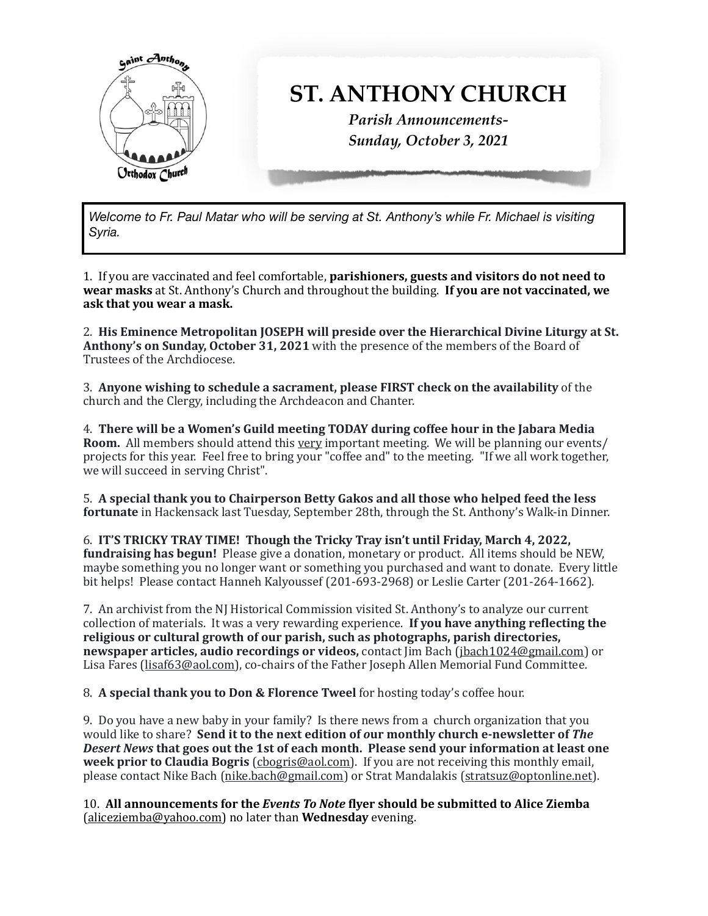

*Welcome to Fr. Paul Matar who will be serving at St. Anthony's while Fr. Michael is visiting Syria.*

1. If you are vaccinated and feel comfortable, **parishioners, guests and visitors do not need to wear masks** at St. Anthony's Church and throughout the building. **If you are not vaccinated, we** ask that you wear a mask.

2. His Eminence Metropolitan JOSEPH will preside over the Hierarchical Divine Liturgy at St. **Anthony's on Sunday, October 31, 2021** with the presence of the members of the Board of Trustees of the Archdiocese.

3. Anyone wishing to schedule a sacrament, please FIRST check on the availability of the church and the Clergy, including the Archdeacon and Chanter.

4. There will be a Women's Guild meeting TODAY during coffee hour in the Jabara Media **Room.** All members should attend this very important meeting. We will be planning our events/ projects for this year. Feel free to bring your "coffee and" to the meeting. "If we all work together, we will succeed in serving Christ".

5. A special thank you to Chairperson Betty Gakos and all those who helped feed the less **fortunate** in Hackensack last Tuesday, September 28th, through the St. Anthony's Walk-in Dinner.

6. **IT'S TRICKY TRAY TIME!** Though the Tricky Tray isn't until Friday, March 4, 2022, **fundraising has begun!** Please give a donation, monetary or product. All items should be NEW, maybe something you no longer want or something you purchased and want to donate. Every little bit helps! Please contact Hanneh Kalyoussef (201-693-2968) or Leslie Carter (201-264-1662).

7. An archivist from the NJ Historical Commission visited St. Anthony's to analyze our current collection of materials. It was a very rewarding experience. **If you have anything reflecting the** religious or cultural growth of our parish, such as photographs, parish directories, **newspaper articles, audio recordings or videos,** contact  $\lim$  Bach ([jbach1024@gmail.com](mailto:jbach1024@gmail.com)) or Lisa Fares [\(lisaf63@aol.com](mailto:lisaf63@aol.com)), co-chairs of the Father Joseph Allen Memorial Fund Committee.

8. A special thank you to Don & Florence Tweel for hosting today's coffee hour.

9. Do you have a new baby in your family? Is there news from a church organization that vou would like to share? Send it to the next edition of our monthly church e-newsletter of The **Desert News that goes out the 1st of each month. Please send your information at least one week prior to Claudia Bogris** (cbogris@aol.com). If you are not receiving this monthly email, please contact Nike Bach ([nike.bach@gmail.com](mailto:nike.bach@gmail.com)) or Strat Mandalakis [\(stratsuz@optonline.net](mailto:stratsuz@optonline.net)).

10. All announcements for the *Events To Note* flyer should be submitted to Alice Ziemba (aliceziemba@yahoo.com) no later than **Wednesday** evening.